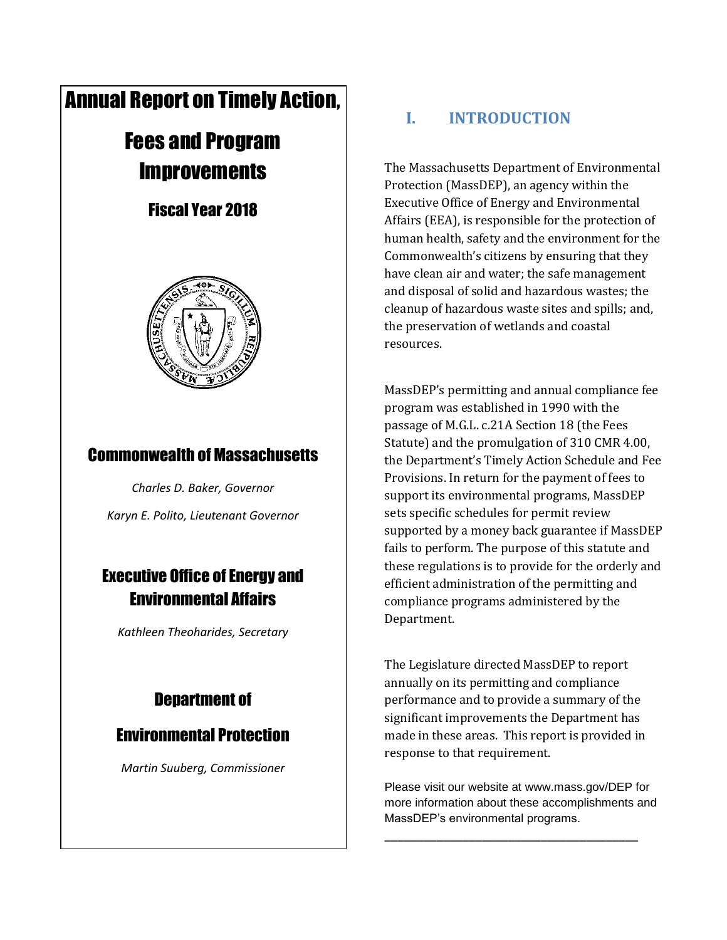# Annual Report on Timely Action,

# Fees and Program **Improvements**

# Fiscal Year 2018



# Commonwealth of Massachusetts

*Charles D. Baker, Governor Karyn E. Polito, Lieutenant Governor*

# Executive Office of Energy and Environmental Affairs

*Kathleen Theoharides, Secretary*

# Department of

### Environmental Protection

*Martin Suuberg, Commissioner*

# **I. INTRODUCTION**

The Massachusetts Department of Environmental Protection (MassDEP), an agency within the Executive Office of Energy and Environmental Affairs (EEA), is responsible for the protection of human health, safety and the environment for the Commonwealth's citizens by ensuring that they have clean air and water; the safe management and disposal of solid and hazardous wastes; the cleanup of hazardous waste sites and spills; and, the preservation of wetlands and coastal resources.

MassDEP's permitting and annual compliance fee program was established in 1990 with the passage of M.G.L. c.21A Section 18 (the Fees Statute) and the promulgation of 310 CMR 4.00, the Department's Timely Action Schedule and Fee Provisions. In return for the payment of fees to support its environmental programs, MassDEP sets specific schedules for permit review supported by a money back guarantee if MassDEP fails to perform. The purpose of this statute and these regulations is to provide for the orderly and efficient administration of the permitting and compliance programs administered by the Department.

The Legislature directed MassDEP to report annually on its permitting and compliance performance and to provide a summary of the significant improvements the Department has made in these areas. This report is provided in response to that requirement.

Please visit our website at www.mass.gov/DEP for more information about these accomplishments and MassDEP's environmental programs.

\_\_\_\_\_\_\_\_\_\_\_\_\_\_\_\_\_\_\_\_\_\_\_\_\_\_\_\_\_\_\_\_\_\_\_\_\_\_\_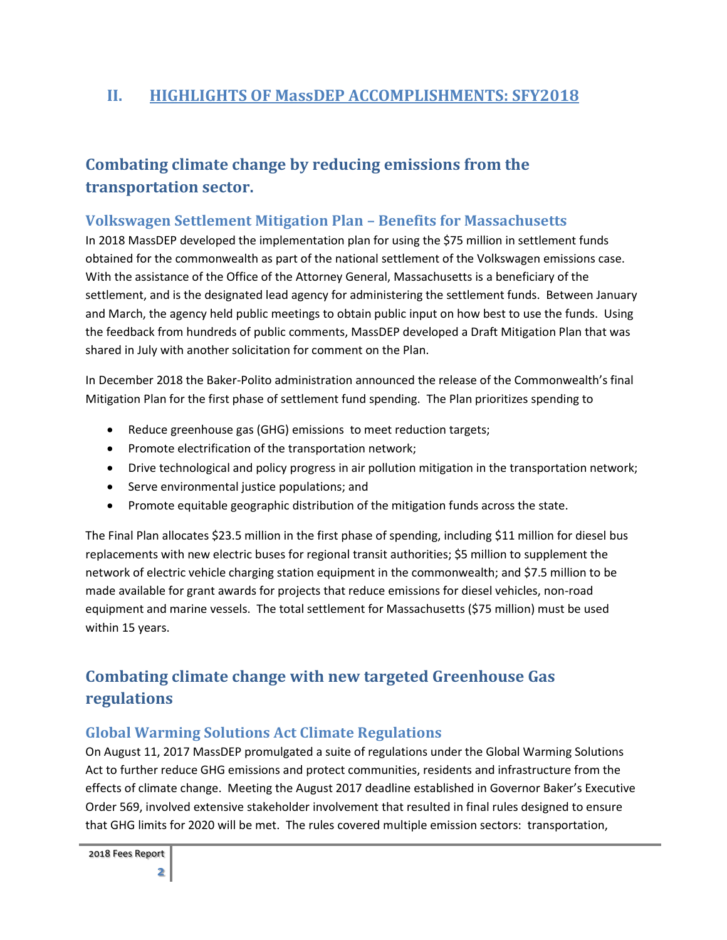### **II. HIGHLIGHTS OF MassDEP ACCOMPLISHMENTS: SFY2018**

# **Combating climate change by reducing emissions from the transportation sector.**

### **Volkswagen Settlement Mitigation Plan – Benefits for Massachusetts**

In 2018 MassDEP developed the implementation plan for using the \$75 million in settlement funds obtained for the commonwealth as part of the national settlement of the Volkswagen emissions case. With the assistance of the Office of the Attorney General, Massachusetts is a beneficiary of the settlement, and is the designated lead agency for administering the settlement funds. Between January and March, the agency held public meetings to obtain public input on how best to use the funds. Using the feedback from hundreds of public comments, MassDEP developed a Draft Mitigation Plan that was shared in July with another solicitation for comment on the Plan.

In December 2018 the Baker-Polito administration announced the release of the Commonwealth's final Mitigation Plan for the first phase of settlement fund spending. The Plan prioritizes spending to

- Reduce greenhouse gas (GHG) emissions to meet reduction targets;
- Promote electrification of the transportation network;
- Drive technological and policy progress in air pollution mitigation in the transportation network;
- Serve environmental justice populations; and
- Promote equitable geographic distribution of the mitigation funds across the state.

The Final Plan allocates \$23.5 million in the first phase of spending, including \$11 million for diesel bus replacements with new electric buses for regional transit authorities; \$5 million to supplement the network of electric vehicle charging station equipment in the commonwealth; and \$7.5 million to be made available for grant awards for projects that reduce emissions for diesel vehicles, non-road equipment and marine vessels. The total settlement for Massachusetts (\$75 million) must be used within 15 years.

# **Combating climate change with new targeted Greenhouse Gas regulations**

### **Global Warming Solutions Act Climate Regulations**

On August 11, 2017 MassDEP promulgated a suite of regulations under the Global Warming Solutions Act to further reduce GHG emissions and protect communities, residents and infrastructure from the effects of climate change. Meeting the August 2017 deadline established in Governor Baker's Executive Order 569, involved extensive stakeholder involvement that resulted in final rules designed to ensure that GHG limits for 2020 will be met. The rules covered multiple emission sectors: transportation,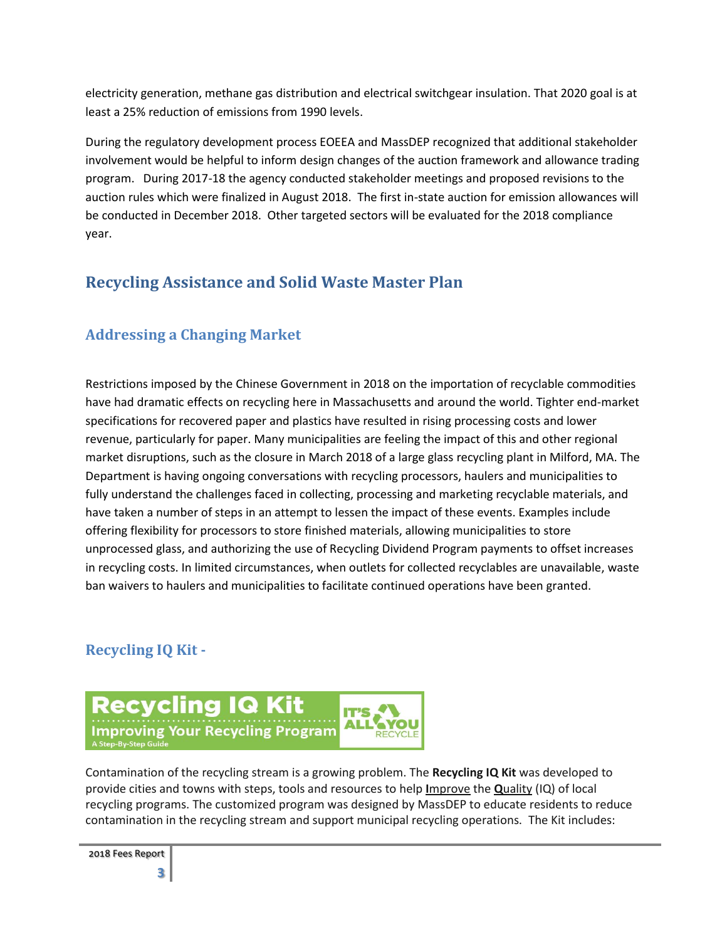electricity generation, methane gas distribution and electrical switchgear insulation. That 2020 goal is at least a 25% reduction of emissions from 1990 levels.

During the regulatory development process EOEEA and MassDEP recognized that additional stakeholder involvement would be helpful to inform design changes of the auction framework and allowance trading program. During 2017-18 the agency conducted stakeholder meetings and proposed revisions to the auction rules which were finalized in August 2018. The first in-state auction for emission allowances will be conducted in December 2018. Other targeted sectors will be evaluated for the 2018 compliance year.

### **Recycling Assistance and Solid Waste Master Plan**

### **Addressing a Changing Market**

Restrictions imposed by the Chinese Government in 2018 on the importation of recyclable commodities have had dramatic effects on recycling here in Massachusetts and around the world. Tighter end-market specifications for recovered paper and plastics have resulted in rising processing costs and lower revenue, particularly for paper. Many municipalities are feeling the impact of this and other regional market disruptions, such as the closure in March 2018 of a large glass recycling plant in Milford, MA. The Department is having ongoing conversations with recycling processors, haulers and municipalities to fully understand the challenges faced in collecting, processing and marketing recyclable materials, and have taken a number of steps in an attempt to lessen the impact of these events. Examples include offering flexibility for processors to store finished materials, allowing municipalities to store unprocessed glass, and authorizing the use of Recycling Dividend Program payments to offset increases in recycling costs. In limited circumstances, when outlets for collected recyclables are unavailable, waste ban waivers to haulers and municipalities to facilitate continued operations have been granted.

### **Recycling IQ Kit -**



Contamination of the recycling stream is a growing problem. The **Recycling IQ Kit** was developed to provide cities and towns with steps, tools and resources to help **I**mprove the **Q**uality (IQ) of local recycling programs. The customized program was designed by MassDEP to educate residents to reduce contamination in the recycling stream and support municipal recycling operations. The Kit includes: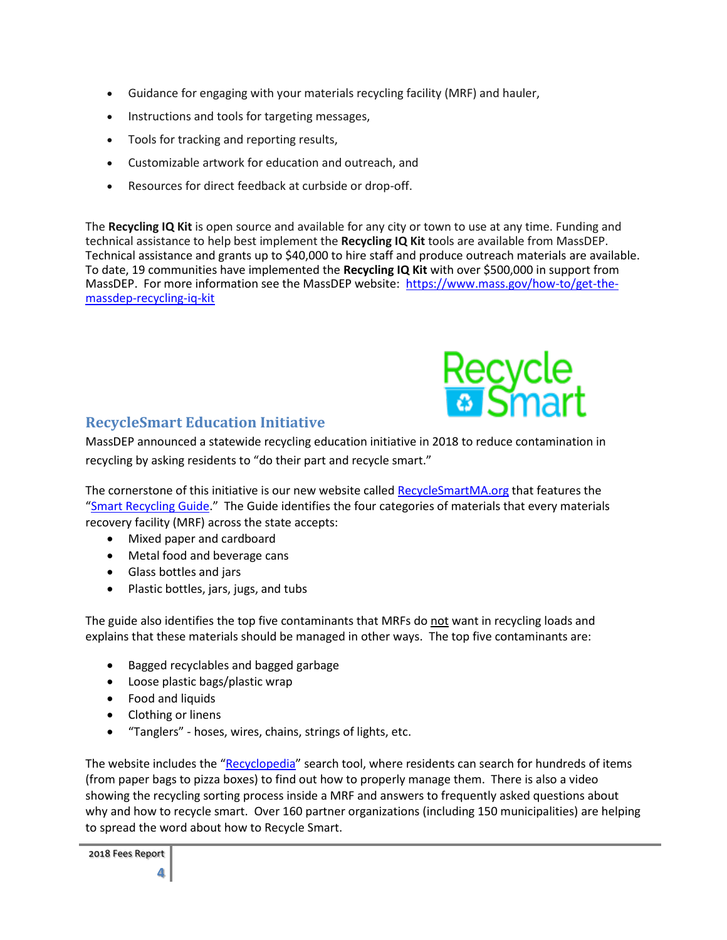- Guidance for engaging with your materials recycling facility (MRF) and hauler,
- Instructions and tools for targeting messages,
- Tools for tracking and reporting results,
- Customizable artwork for education and outreach, and
- Resources for direct feedback at curbside or drop-off.

The **Recycling IQ Kit** is open source and available for any city or town to use at any time. Funding and technical assistance to help best implement the **Recycling IQ Kit** tools are available from MassDEP. Technical assistance and grants up to \$40,000 to hire staff and produce outreach materials are available. To date, 19 communities have implemented the **Recycling IQ Kit** with over \$500,000 in support from MassDEP. For more information see the MassDEP website: [https://www.mass.gov/how-to/get-the](https://www.mass.gov/how-to/get-the-massdep-recycling-iq-kit)[massdep-recycling-iq-kit](https://www.mass.gov/how-to/get-the-massdep-recycling-iq-kit)



### **RecycleSmart Education Initiative**

MassDEP announced a statewide recycling education initiative in 2018 to reduce contamination in recycling by asking residents to "do their part and recycle smart."

The cornerstone of this initiative is our new website called [RecycleSmartMA.org](https://recyclesmartma.org/) that features the "[Smart Recycling Guide](https://recyclesmartma.org/smart-recycling-guide/)." The Guide identifies the four categories of materials that every materials recovery facility (MRF) across the state accepts:

- Mixed paper and cardboard
- Metal food and beverage cans
- Glass bottles and jars
- Plastic bottles, jars, jugs, and tubs

The guide also identifies the top five contaminants that MRFs do not want in recycling loads and explains that these materials should be managed in other ways. The top five contaminants are:

- Bagged recyclables and bagged garbage
- Loose plastic bags/plastic wrap
- Food and liquids
- Clothing or linens
- "Tanglers" hoses, wires, chains, strings of lights, etc.

The website includes the "[Recyclopedia](https://recyclesmartma.org/results-materials/)" search tool, where residents can search for hundreds of items (from paper bags to pizza boxes) to find out how to properly manage them. There is also a video showing the recycling sorting process inside a MRF and answers to frequently asked questions about why and how to recycle smart. Over 160 partner organizations (including 150 municipalities) are helping to spread the word about how to Recycle Smart.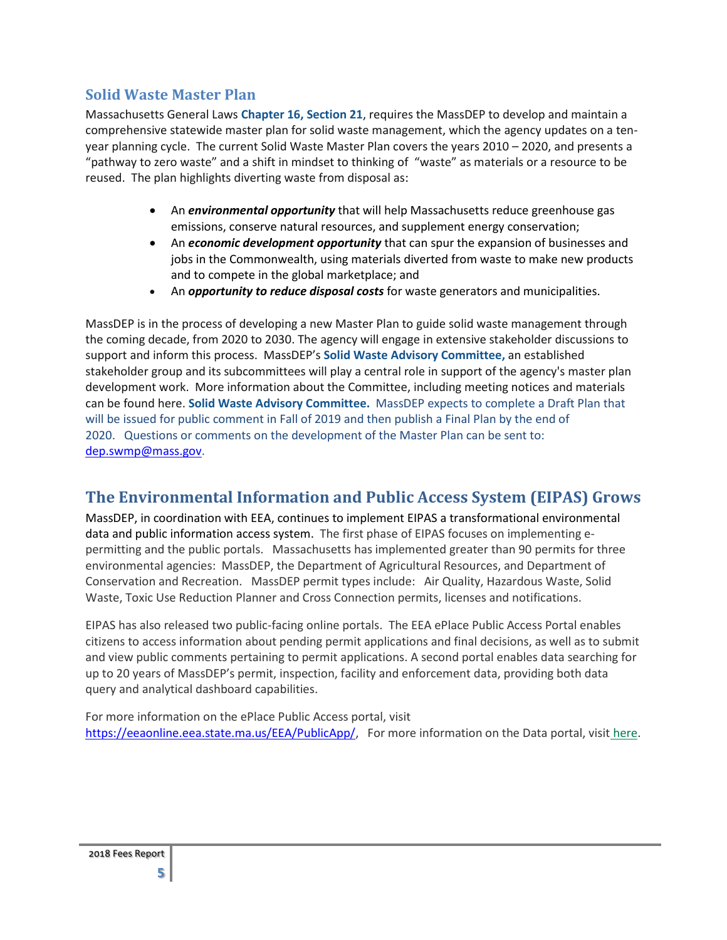### **Solid Waste Master Plan**

Massachusetts General Laws **[Chapter 16, Section 21](https://malegislature.gov/Laws/GeneralLaws/PartI/TitleII/Chapter16/Section21)**, requires the MassDEP to develop and maintain a comprehensive statewide master plan for solid waste management, which the agency updates on a tenyear planning cycle. The current Solid Waste Master Plan covers the years 2010 – 2020, and presents a "pathway to zero waste" and a shift in mindset to thinking of "waste" as materials or a resource to be reused. The plan highlights diverting waste from disposal as:

- An *environmental opportunity* that will help Massachusetts reduce greenhouse gas emissions, conserve natural resources, and supplement energy conservation;
- An *economic development opportunity* that can spur the expansion of businesses and jobs in the Commonwealth, using materials diverted from waste to make new products and to compete in the global marketplace; and
- An *opportunity to reduce disposal costs* for waste generators and municipalities.

MassDEP is in the process of developing a new Master Plan to guide solid waste management through the coming decade, from 2020 to 2030. The agency will engage in extensive stakeholder discussions to support and inform this process. MassDEP's **[Solid Waste Advisory Committee,](https://www.mass.gov/service-details/solid-waste-advisory-committee-massdep)** an established stakeholder group and its subcommittees will play a central role in support of the agency's master plan development work. More information about the Committee, including meeting notices and materials can be found here. **[Solid Waste Advisory Committee.](https://www.mass.gov/service-details/solid-waste-advisory-committee-massdep)** MassDEP expects to complete a Draft Plan that will be issued for public comment in Fall of 2019 and then publish a Final Plan by the end of 2020. Questions or comments on the development of the Master Plan can be sent to: [dep.swmp@mass.gov.](mailto:dep.swmp@mass.gov)

### **The Environmental Information and Public Access System (EIPAS) Grows**

MassDEP, in coordination with EEA, continues to implement EIPAS a transformational environmental data and public information access system. The first phase of EIPAS focuses on implementing epermitting and the public portals. Massachusetts has implemented greater than 90 permits for three environmental agencies: MassDEP, the Department of Agricultural Resources, and Department of Conservation and Recreation. MassDEP permit types include: Air Quality, Hazardous Waste, Solid Waste, Toxic Use Reduction Planner and Cross Connection permits, licenses and notifications.

EIPAS has also released two public-facing online portals. The EEA ePlace Public Access Portal enables citizens to access information about pending permit applications and final decisions, as well as to submit and view public comments pertaining to permit applications. A second portal enables data searching for up to 20 years of MassDEP's permit, inspection, facility and enforcement data, providing both data query and analytical dashboard capabilities.

For more information on the ePlace Public Access portal, visit [https://eeaonline.eea.state.ma.us/EEA/PublicApp/,](https://eeaonline.eea.state.ma.us/EEA/PublicApp/) For more information on the Data portal, visit [here.](http://eeaonline.eea.state.ma.us/portal)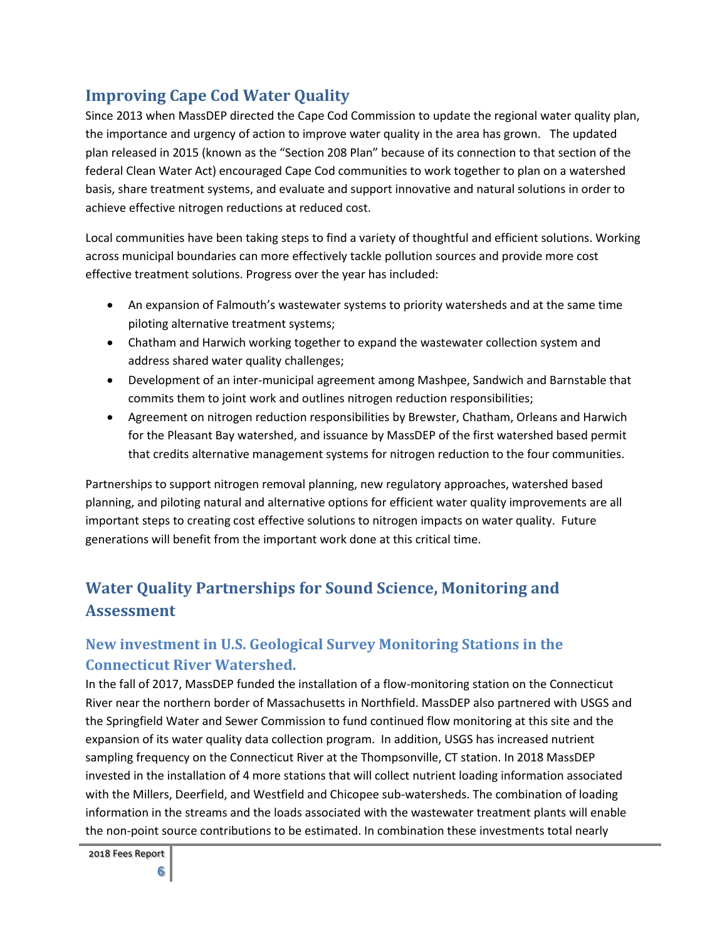### **Improving Cape Cod Water Quality**

Since 2013 when MassDEP directed the Cape Cod Commission to update the regional water quality plan, the importance and urgency of action to improve water quality in the area has grown. The updated plan released in 2015 (known as the "Section 208 Plan" because of its connection to that section of the federal Clean Water Act) encouraged Cape Cod communities to work together to plan on a watershed basis, share treatment systems, and evaluate and support innovative and natural solutions in order to achieve effective nitrogen reductions at reduced cost.

Local communities have been taking steps to find a variety of thoughtful and efficient solutions. Working across municipal boundaries can more effectively tackle pollution sources and provide more cost effective treatment solutions. Progress over the year has included:

- An expansion of Falmouth's wastewater systems to priority watersheds and at the same time piloting alternative treatment systems;
- Chatham and Harwich working together to expand the wastewater collection system and address shared water quality challenges;
- Development of an inter-municipal agreement among Mashpee, Sandwich and Barnstable that commits them to joint work and outlines nitrogen reduction responsibilities;
- Agreement on nitrogen reduction responsibilities by Brewster, Chatham, Orleans and Harwich for the Pleasant Bay watershed, and issuance by MassDEP of the first watershed based permit that credits alternative management systems for nitrogen reduction to the four communities.

Partnerships to support nitrogen removal planning, new regulatory approaches, watershed based planning, and piloting natural and alternative options for efficient water quality improvements are all important steps to creating cost effective solutions to nitrogen impacts on water quality. Future generations will benefit from the important work done at this critical time.

# **Water Quality Partnerships for Sound Science, Monitoring and Assessment**

### **New investment in U.S. Geological Survey Monitoring Stations in the Connecticut River Watershed.**

In the fall of 2017, MassDEP funded the installation of a flow-monitoring station on the Connecticut River near the northern border of Massachusetts in Northfield. MassDEP also partnered with USGS and the Springfield Water and Sewer Commission to fund continued flow monitoring at this site and the expansion of its water quality data collection program. In addition, USGS has increased nutrient sampling frequency on the Connecticut River at the Thompsonville, CT station. In 2018 MassDEP invested in the installation of 4 more stations that will collect nutrient loading information associated with the Millers, Deerfield, and Westfield and Chicopee sub-watersheds. The combination of loading information in the streams and the loads associated with the wastewater treatment plants will enable the non-point source contributions to be estimated. In combination these investments total nearly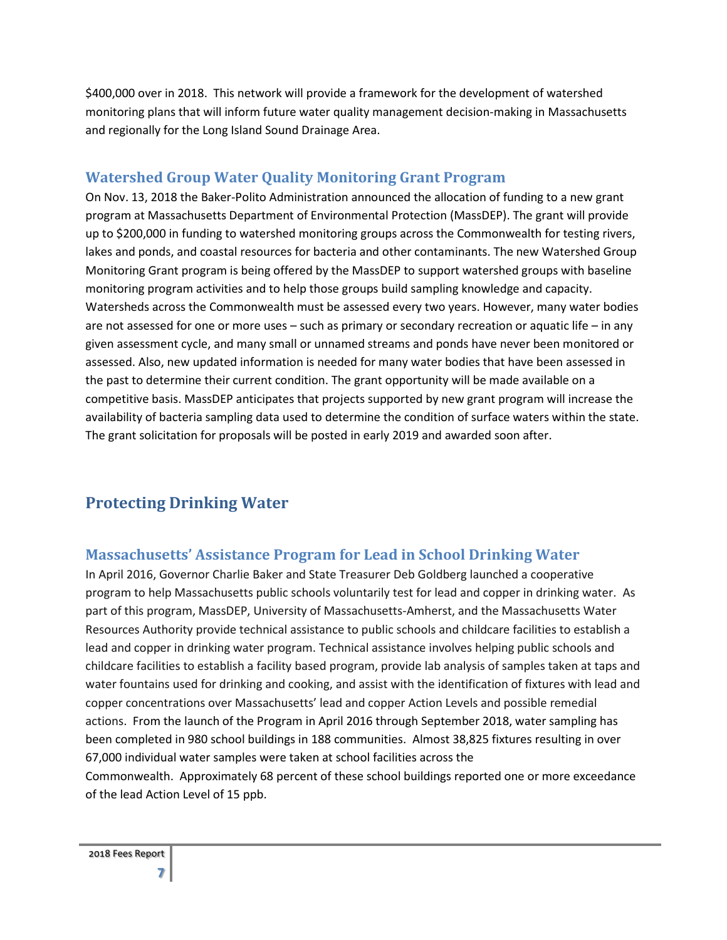\$400,000 over in 2018. This network will provide a framework for the development of watershed monitoring plans that will inform future water quality management decision-making in Massachusetts and regionally for the Long Island Sound Drainage Area.

#### **Watershed Group Water Quality Monitoring Grant Program**

On Nov. 13, 2018 the Baker-Polito Administration announced the allocation of funding to a new grant program at Massachusetts Department of Environmental Protection (MassDEP). The grant will provide up to \$200,000 in funding to watershed monitoring groups across the Commonwealth for testing rivers, lakes and ponds, and coastal resources for bacteria and other contaminants. The new Watershed Group Monitoring Grant program is being offered by the MassDEP to support watershed groups with baseline monitoring program activities and to help those groups build sampling knowledge and capacity. Watersheds across the Commonwealth must be assessed every two years. However, many water bodies are not assessed for one or more uses – such as primary or secondary recreation or aquatic life – in any given assessment cycle, and many small or unnamed streams and ponds have never been monitored or assessed. Also, new updated information is needed for many water bodies that have been assessed in the past to determine their current condition. The grant opportunity will be made available on a competitive basis. MassDEP anticipates that projects supported by new grant program will increase the availability of bacteria sampling data used to determine the condition of surface waters within the state. The grant solicitation for proposals will be posted in early 2019 and awarded soon after.

### **Protecting Drinking Water**

### **Massachusetts' Assistance Program for Lead in School Drinking Water**

In April 2016, Governor Charlie Baker and State Treasurer Deb Goldberg launched a cooperative program to help Massachusetts public schools voluntarily test for lead and copper in drinking water. As part of this program, MassDEP, University of Massachusetts-Amherst, and the Massachusetts Water Resources Authority provide technical assistance to public schools and childcare facilities to establish a lead and copper in drinking water program. Technical assistance involves helping public schools and childcare facilities to establish a facility based program, provide lab analysis of samples taken at taps and water fountains used for drinking and cooking, and assist with the identification of fixtures with lead and copper concentrations over Massachusetts' lead and copper Action Levels and possible remedial actions. From the launch of the Program in April 2016 through September 2018, water sampling has been completed in 980 school buildings in 188 communities. Almost 38,825 fixtures resulting in over 67,000 individual water samples were taken at school facilities across the Commonwealth. Approximately 68 percent of these school buildings reported one or more exceedance of the lead Action Level of 15 ppb.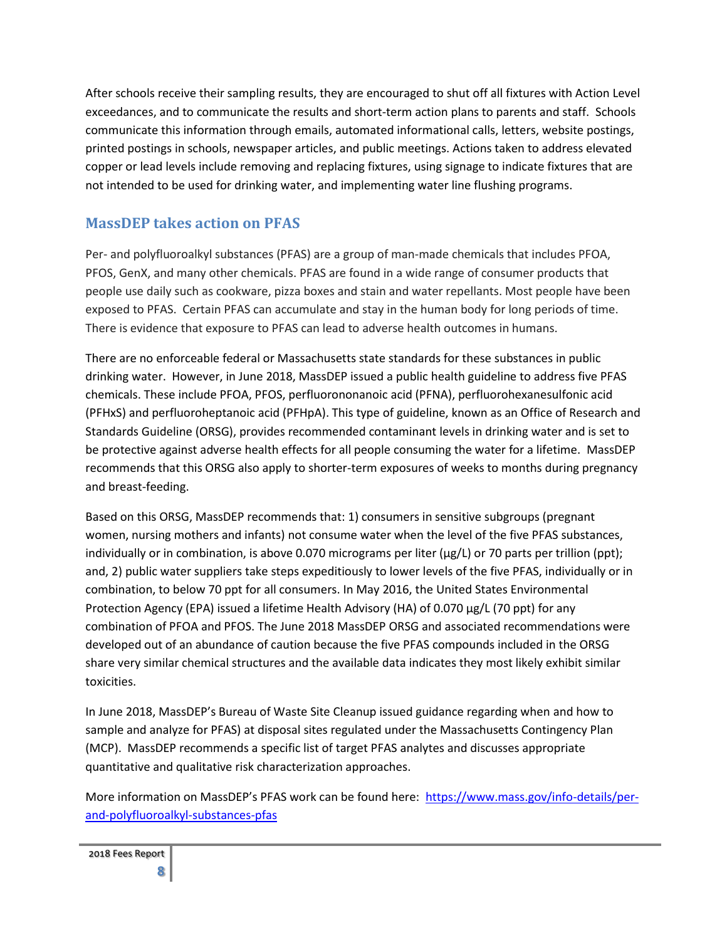After schools receive their sampling results, they are encouraged to shut off all fixtures with Action Level exceedances, and to communicate the results and short-term action plans to parents and staff. Schools communicate this information through emails, automated informational calls, letters, website postings, printed postings in schools, newspaper articles, and public meetings. Actions taken to address elevated copper or lead levels include removing and replacing fixtures, using signage to indicate fixtures that are not intended to be used for drinking water, and implementing water line flushing programs.

### **MassDEP takes action on PFAS**

Per- and polyfluoroalkyl substances (PFAS) are a group of man-made chemicals that includes PFOA, PFOS, GenX, and many other chemicals. PFAS are found in a wide range of consumer products that people use daily such as cookware, pizza boxes and stain and water repellants. Most people have been exposed to PFAS. Certain PFAS can accumulate and stay in the human body for long periods of time. There is evidence that exposure to PFAS can lead to adverse health outcomes in humans.

There are no enforceable federal or Massachusetts state standards for these substances in public drinking water. However, in June 2018, MassDEP issued a public health guideline to address five PFAS chemicals. These include PFOA, PFOS, perfluorononanoic acid (PFNA), perfluorohexanesulfonic acid (PFHxS) and perfluoroheptanoic acid (PFHpA). This type of guideline, known as an Office of Research and Standards Guideline (ORSG), provides recommended contaminant levels in drinking water and is set to be protective against adverse health effects for all people consuming the water for a lifetime. MassDEP recommends that this ORSG also apply to shorter-term exposures of weeks to months during pregnancy and breast-feeding.

Based on this ORSG, MassDEP recommends that: 1) consumers in sensitive subgroups (pregnant women, nursing mothers and infants) not consume water when the level of the five PFAS substances, individually or in combination, is above 0.070 micrograms per liter (μg/L) or 70 parts per trillion (ppt); and, 2) public water suppliers take steps expeditiously to lower levels of the five PFAS, individually or in combination, to below 70 ppt for all consumers. In May 2016, the United States Environmental Protection Agency (EPA) issued a lifetime Health Advisory (HA) of 0.070 μg/L (70 ppt) for any combination of PFOA and PFOS. The June 2018 MassDEP ORSG and associated recommendations were developed out of an abundance of caution because the five PFAS compounds included in the ORSG share very similar chemical structures and the available data indicates they most likely exhibit similar toxicities.

In June 2018, MassDEP's Bureau of Waste Site Cleanup issued guidance regarding when and how to sample and analyze for PFAS) at disposal sites regulated under the Massachusetts Contingency Plan (MCP). MassDEP recommends a specific list of target PFAS analytes and discusses appropriate quantitative and qualitative risk characterization approaches.

More information on MassDEP's PFAS work can be found here: [https://www.mass.gov/info-details/per](https://www.mass.gov/info-details/per-and-polyfluoroalkyl-substances-pfas)[and-polyfluoroalkyl-substances-pfas](https://www.mass.gov/info-details/per-and-polyfluoroalkyl-substances-pfas)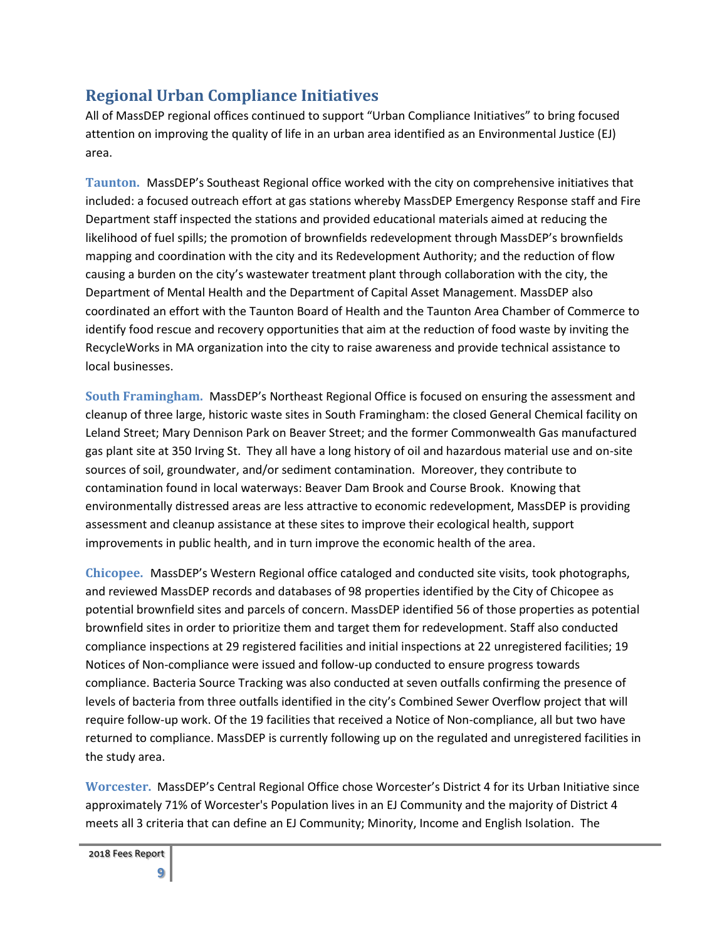### **Regional Urban Compliance Initiatives**

All of MassDEP regional offices continued to support "Urban Compliance Initiatives" to bring focused attention on improving the quality of life in an urban area identified as an Environmental Justice (EJ) area.

**Taunton.** MassDEP's Southeast Regional office worked with the city on comprehensive initiatives that included: a focused outreach effort at gas stations whereby MassDEP Emergency Response staff and Fire Department staff inspected the stations and provided educational materials aimed at reducing the likelihood of fuel spills; the promotion of brownfields redevelopment through MassDEP's brownfields mapping and coordination with the city and its Redevelopment Authority; and the reduction of flow causing a burden on the city's wastewater treatment plant through collaboration with the city, the Department of Mental Health and the Department of Capital Asset Management. MassDEP also coordinated an effort with the Taunton Board of Health and the Taunton Area Chamber of Commerce to identify food rescue and recovery opportunities that aim at the reduction of food waste by inviting the RecycleWorks in MA organization into the city to raise awareness and provide technical assistance to local businesses.

**South Framingham.** MassDEP's Northeast Regional Office is focused on ensuring the assessment and cleanup of three large, historic waste sites in South Framingham: the closed General Chemical facility on Leland Street; Mary Dennison Park on Beaver Street; and the former Commonwealth Gas manufactured gas plant site at 350 Irving St. They all have a long history of oil and hazardous material use and on-site sources of soil, groundwater, and/or sediment contamination. Moreover, they contribute to contamination found in local waterways: Beaver Dam Brook and Course Brook. Knowing that environmentally distressed areas are less attractive to economic redevelopment, MassDEP is providing assessment and cleanup assistance at these sites to improve their ecological health, support improvements in public health, and in turn improve the economic health of the area.

**Chicopee.** MassDEP's Western Regional office cataloged and conducted site visits, took photographs, and reviewed MassDEP records and databases of 98 properties identified by the City of Chicopee as potential brownfield sites and parcels of concern. MassDEP identified 56 of those properties as potential brownfield sites in order to prioritize them and target them for redevelopment. Staff also conducted compliance inspections at 29 registered facilities and initial inspections at 22 unregistered facilities; 19 Notices of Non-compliance were issued and follow-up conducted to ensure progress towards compliance. Bacteria Source Tracking was also conducted at seven outfalls confirming the presence of levels of bacteria from three outfalls identified in the city's Combined Sewer Overflow project that will require follow-up work. Of the 19 facilities that received a Notice of Non-compliance, all but two have returned to compliance. MassDEP is currently following up on the regulated and unregistered facilities in the study area.

**Worcester.** MassDEP's Central Regional Office chose Worcester's District 4 for its Urban Initiative since approximately 71% of Worcester's Population lives in an EJ Community and the majority of District 4 meets all 3 criteria that can define an EJ Community; Minority, Income and English Isolation. The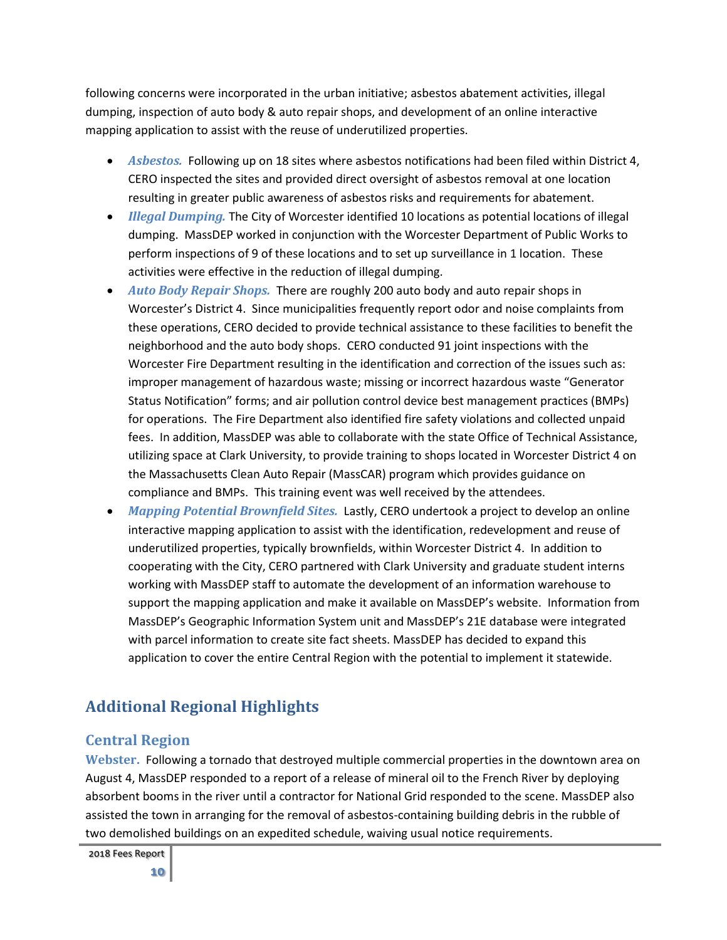following concerns were incorporated in the urban initiative; asbestos abatement activities, illegal dumping, inspection of auto body & auto repair shops, and development of an online interactive mapping application to assist with the reuse of underutilized properties.

- *Asbestos.* Following up on 18 sites where asbestos notifications had been filed within District 4, CERO inspected the sites and provided direct oversight of asbestos removal at one location resulting in greater public awareness of asbestos risks and requirements for abatement.
- *Illegal Dumping.* The City of Worcester identified 10 locations as potential locations of illegal dumping. MassDEP worked in conjunction with the Worcester Department of Public Works to perform inspections of 9 of these locations and to set up surveillance in 1 location. These activities were effective in the reduction of illegal dumping.
- *Auto Body Repair Shops.* There are roughly 200 auto body and auto repair shops in Worcester's District 4. Since municipalities frequently report odor and noise complaints from these operations, CERO decided to provide technical assistance to these facilities to benefit the neighborhood and the auto body shops. CERO conducted 91 joint inspections with the Worcester Fire Department resulting in the identification and correction of the issues such as: improper management of hazardous waste; missing or incorrect hazardous waste "Generator Status Notification" forms; and air pollution control device best management practices (BMPs) for operations. The Fire Department also identified fire safety violations and collected unpaid fees. In addition, MassDEP was able to collaborate with the state Office of Technical Assistance, utilizing space at Clark University, to provide training to shops located in Worcester District 4 on the Massachusetts Clean Auto Repair (MassCAR) program which provides guidance on compliance and BMPs. This training event was well received by the attendees.
- *Mapping Potential Brownfield Sites.* Lastly, CERO undertook a project to develop an online interactive mapping application to assist with the identification, redevelopment and reuse of underutilized properties, typically brownfields, within Worcester District 4. In addition to cooperating with the City, CERO partnered with Clark University and graduate student interns working with MassDEP staff to automate the development of an information warehouse to support the mapping application and make it available on MassDEP's website. Information from MassDEP's Geographic Information System unit and MassDEP's 21E database were integrated with parcel information to create site fact sheets. MassDEP has decided to expand this application to cover the entire Central Region with the potential to implement it statewide.

# **Additional Regional Highlights**

### **Central Region**

**Webster.** Following a tornado that destroyed multiple commercial properties in the downtown area on August 4, MassDEP responded to a report of a release of mineral oil to the French River by deploying absorbent booms in the river until a contractor for National Grid responded to the scene. MassDEP also assisted the town in arranging for the removal of asbestos-containing building debris in the rubble of two demolished buildings on an expedited schedule, waiving usual notice requirements.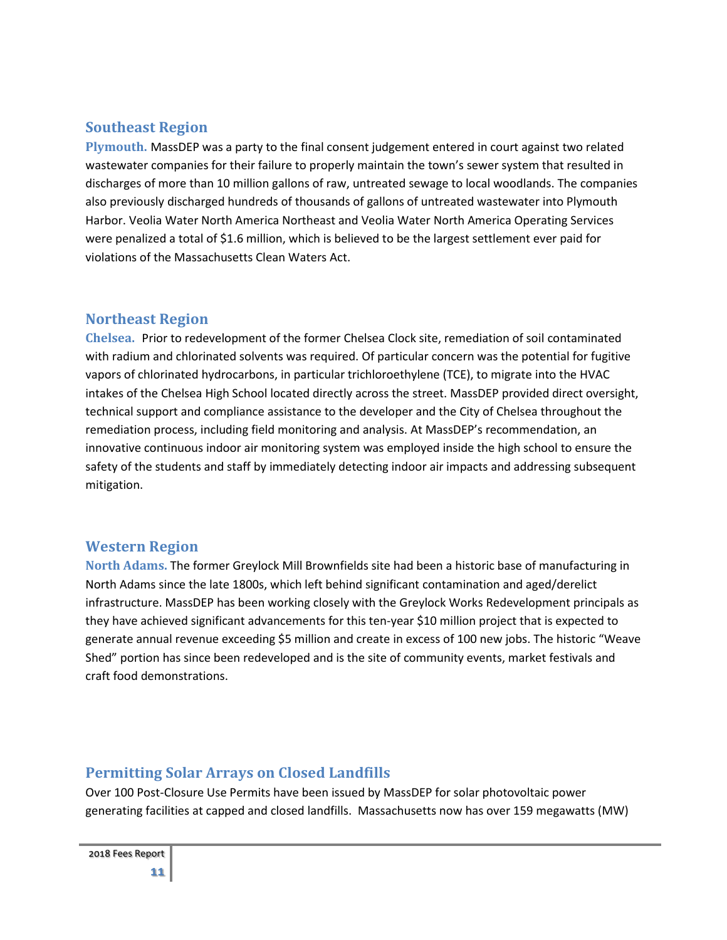### **Southeast Region**

**Plymouth.** MassDEP was a party to the final consent judgement entered in court against two related wastewater companies for their failure to properly maintain the town's sewer system that resulted in discharges of more than 10 million gallons of raw, untreated sewage to local woodlands. The companies also previously discharged hundreds of thousands of gallons of untreated wastewater into Plymouth Harbor. Veolia Water North America Northeast and Veolia Water North America Operating Services were penalized a total of \$1.6 million, which is believed to be the largest settlement ever paid for violations of the Massachusetts Clean Waters Act.

### **Northeast Region**

**Chelsea.** Prior to redevelopment of the former Chelsea Clock site, remediation of soil contaminated with radium and chlorinated solvents was required. Of particular concern was the potential for fugitive vapors of chlorinated hydrocarbons, in particular trichloroethylene (TCE), to migrate into the HVAC intakes of the Chelsea High School located directly across the street. MassDEP provided direct oversight, technical support and compliance assistance to the developer and the City of Chelsea throughout the remediation process, including field monitoring and analysis. At MassDEP's recommendation, an innovative continuous indoor air monitoring system was employed inside the high school to ensure the safety of the students and staff by immediately detecting indoor air impacts and addressing subsequent mitigation.

### **Western Region**

**North Adams.** The former Greylock Mill Brownfields site had been a historic base of manufacturing in North Adams since the late 1800s, which left behind significant contamination and aged/derelict infrastructure. MassDEP has been working closely with the Greylock Works Redevelopment principals as they have achieved significant advancements for this ten-year \$10 million project that is expected to generate annual revenue exceeding \$5 million and create in excess of 100 new jobs. The historic "Weave Shed" portion has since been redeveloped and is the site of community events, market festivals and craft food demonstrations.

### **Permitting Solar Arrays on Closed Landfills**

Over 100 Post-Closure Use Permits have been issued by MassDEP for solar photovoltaic power generating facilities at capped and closed landfills. Massachusetts now has over 159 megawatts (MW)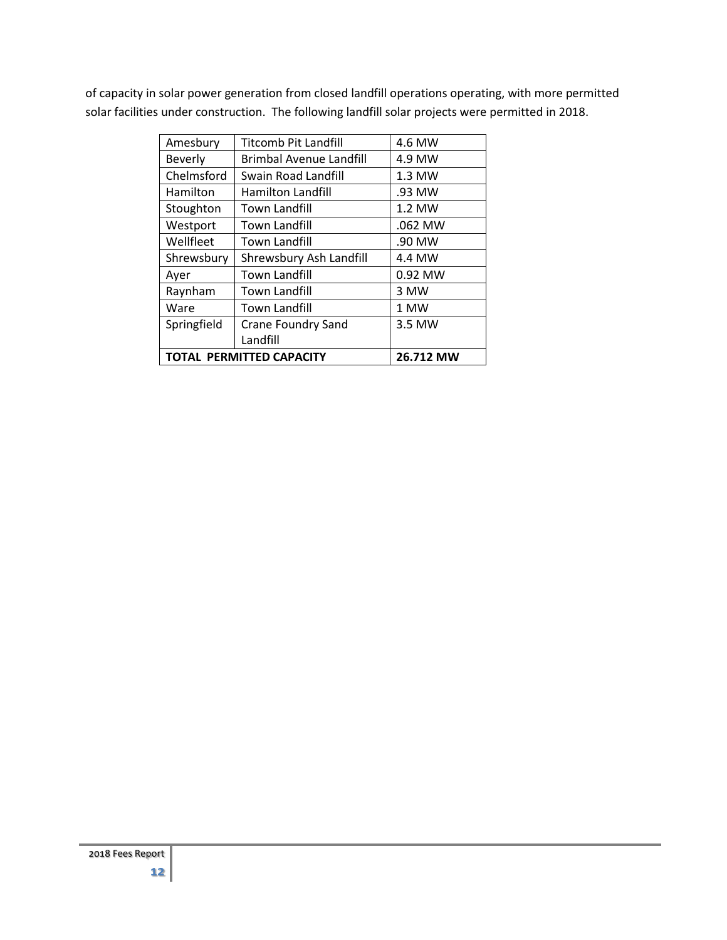of capacity in solar power generation from closed landfill operations operating, with more permitted solar facilities under construction. The following landfill solar projects were permitted in 2018.

| Amesbury                        | <b>Titcomb Pit Landfill</b> | 4.6 MW    |
|---------------------------------|-----------------------------|-----------|
| Beverly                         | Brimbal Avenue Landfill     | 4.9 MW    |
| Chelmsford                      | Swain Road Landfill         | $1.3$ MW  |
| Hamilton                        | <b>Hamilton Landfill</b>    | .93 MW    |
| Stoughton                       | <b>Town Landfill</b>        | 1.2 MW    |
| Westport                        | Town Landfill               | .062 MW   |
| Wellfleet                       | Town Landfill               | .90 MW    |
| Shrewsbury                      | Shrewsbury Ash Landfill     | 4.4 MW    |
| Ayer                            | <b>Town Landfill</b>        | 0.92 MW   |
| Raynham                         | <b>Town Landfill</b>        | 3 MW      |
| Ware                            | <b>Town Landfill</b>        | 1 MW      |
| Springfield                     | <b>Crane Foundry Sand</b>   | 3.5 MW    |
|                                 | Landfill                    |           |
| <b>TOTAL PERMITTED CAPACITY</b> |                             | 26.712 MW |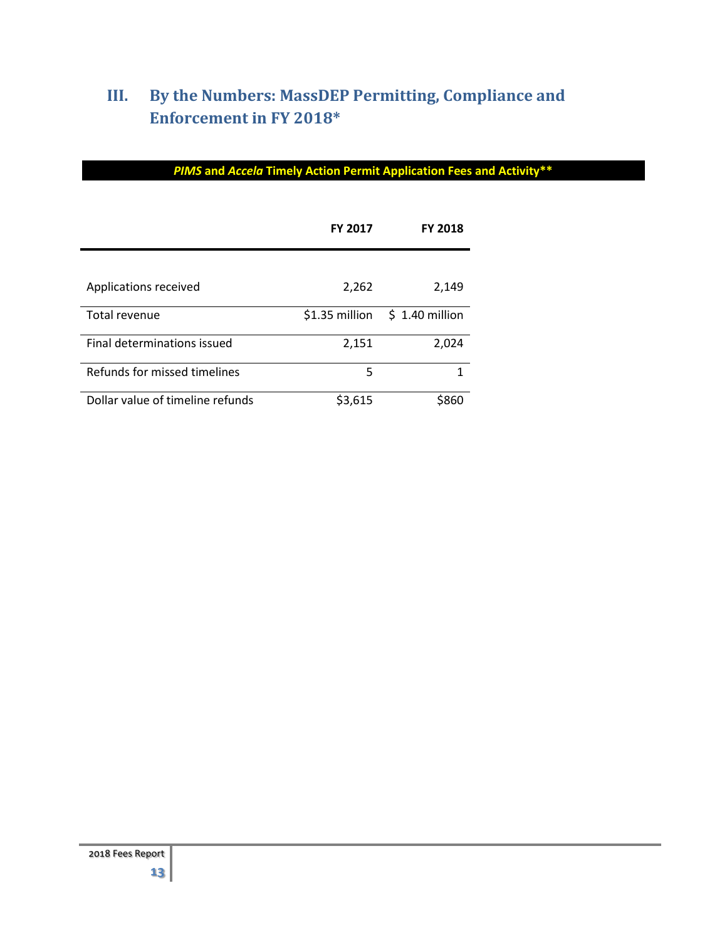# **III. By the Numbers: MassDEP Permitting, Compliance and Enforcement in FY 2018\***

|                                  | <b>FY 2017</b> | <b>FY 2018</b>  |
|----------------------------------|----------------|-----------------|
|                                  |                |                 |
| Applications received            | 2,262          | 2,149           |
| Total revenue                    | \$1.35 million | $$1.40$ million |
| Final determinations issued      | 2,151          | 2,024           |
| Refunds for missed timelines     | 5              | 1               |
| Dollar value of timeline refunds | \$3,615        | \$860           |

### *PIMS* **and** *Accela* **Timely Action Permit Application Fees and Activity\*\***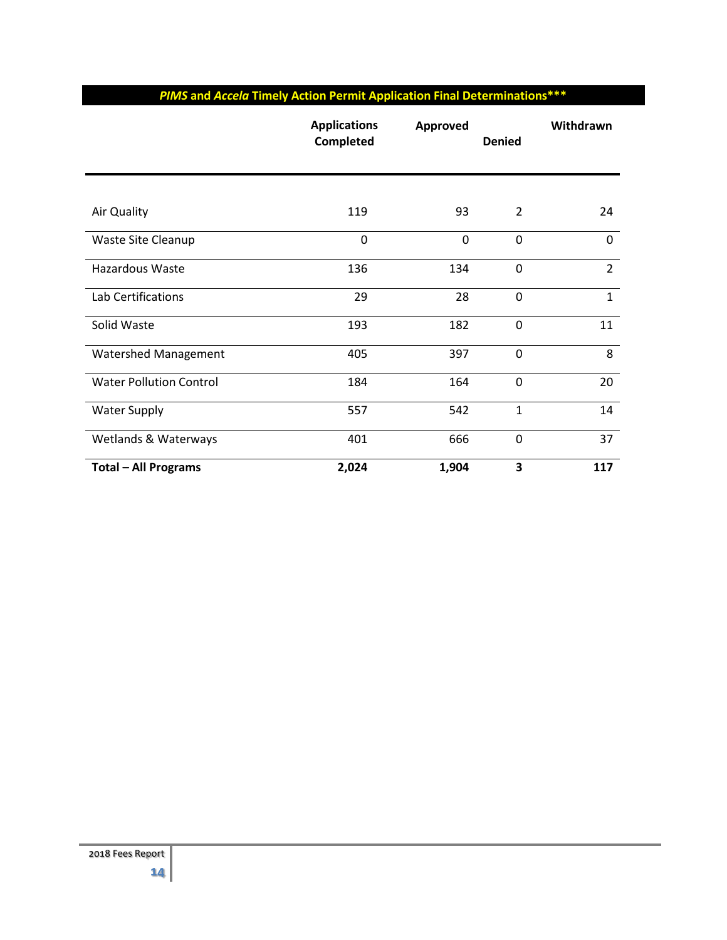### *PIMS* **and** *Accela* **Timely Action Permit Application Final Determinations\*\*\***

|                                | <b>Applications</b><br>Completed | <b>Approved</b> | <b>Denied</b>  | Withdrawn      |
|--------------------------------|----------------------------------|-----------------|----------------|----------------|
|                                |                                  |                 |                |                |
| Air Quality                    | 119                              | 93              | $\overline{2}$ | 24             |
| Waste Site Cleanup             | 0                                | 0               | $\mathbf 0$    | $\mathbf 0$    |
| Hazardous Waste                | 136                              | 134             | $\mathbf 0$    | $\overline{2}$ |
| Lab Certifications             | 29                               | 28              | $\mathbf 0$    | $\mathbf{1}$   |
| Solid Waste                    | 193                              | 182             | $\mathbf 0$    | 11             |
| <b>Watershed Management</b>    | 405                              | 397             | $\mathbf 0$    | 8              |
| <b>Water Pollution Control</b> | 184                              | 164             | $\mathbf 0$    | 20             |
| <b>Water Supply</b>            | 557                              | 542             | $\mathbf{1}$   | 14             |
| Wetlands & Waterways           | 401                              | 666             | $\mathbf 0$    | 37             |
| <b>Total - All Programs</b>    | 2,024                            | 1,904           | 3              | 117            |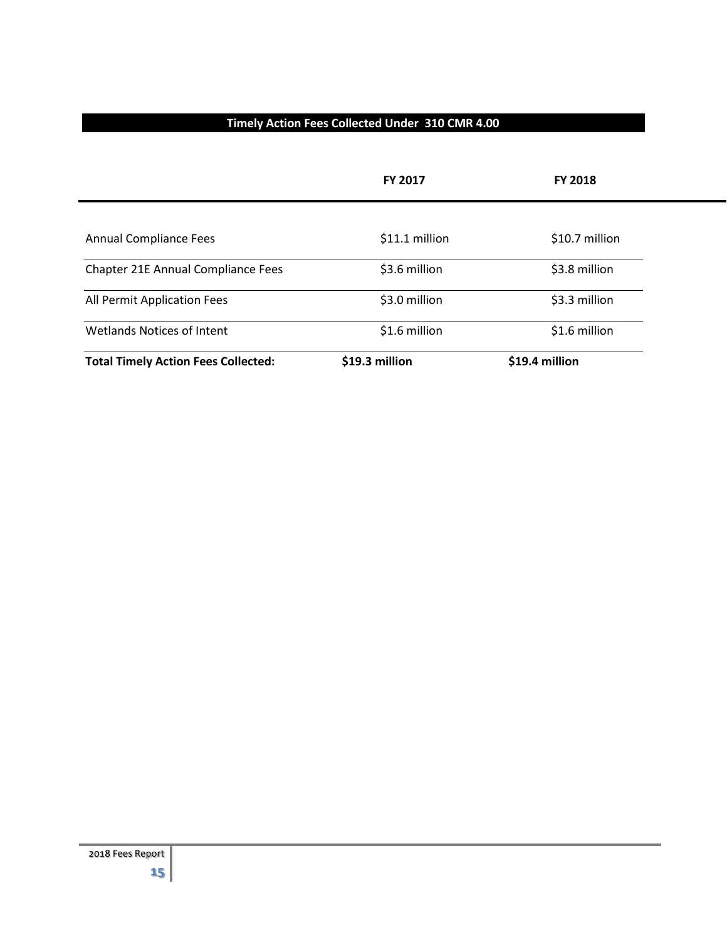#### **Timely Action Fees Collected Under 310 CMR 4.00**

|                                            | <b>FY 2017</b> | <b>FY 2018</b> |
|--------------------------------------------|----------------|----------------|
|                                            |                |                |
| <b>Annual Compliance Fees</b>              | \$11.1 million | \$10.7 million |
| Chapter 21E Annual Compliance Fees         | \$3.6 million  | \$3.8 million  |
| All Permit Application Fees                | \$3.0 million  | \$3.3 million  |
| <b>Wetlands Notices of Intent</b>          | \$1.6 million  | \$1.6 million  |
| <b>Total Timely Action Fees Collected:</b> | \$19.3 million | \$19.4 million |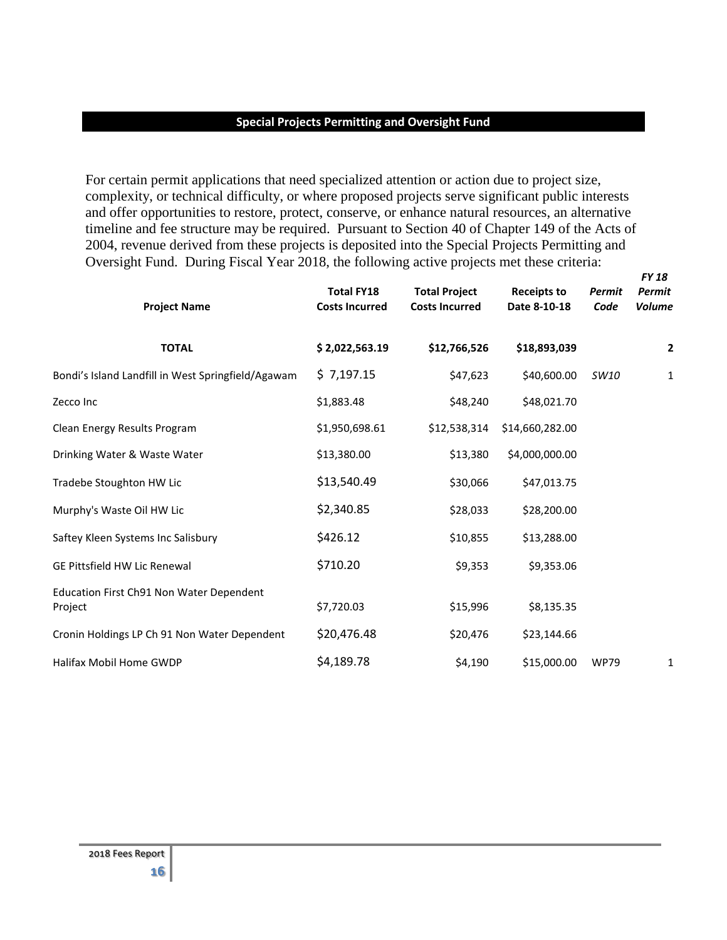#### **Special Projects Permitting and Oversight Fund**

For certain permit applications that need specialized attention or action due to project size, complexity, or technical difficulty, or where proposed projects serve significant public interests and offer opportunities to restore, protect, conserve, or enhance natural resources, an alternative timeline and fee structure may be required. Pursuant to Section 40 of Chapter 149 of the Acts of 2004, revenue derived from these projects is deposited into the Special Projects Permitting and Oversight Fund. During Fiscal Year 2018, the following active projects met these criteria:

*FY 18* 

| <b>Project Name</b>                                 | <b>Total FY18</b><br><b>Costs Incurred</b> | <b>Total Project</b><br><b>Costs Incurred</b> | <b>Receipts to</b><br>Date 8-10-18 | Permit<br>Code | <b>Permit</b><br><b>Volume</b> |
|-----------------------------------------------------|--------------------------------------------|-----------------------------------------------|------------------------------------|----------------|--------------------------------|
| <b>TOTAL</b>                                        | \$2,022,563.19                             | \$12,766,526                                  | \$18,893,039                       |                | 2                              |
| Bondi's Island Landfill in West Springfield/Agawam  | \$7,197.15                                 | \$47,623                                      | \$40,600.00                        | SW10           | $\mathbf{1}$                   |
| Zecco Inc                                           | \$1,883.48                                 | \$48,240                                      | \$48,021.70                        |                |                                |
| Clean Energy Results Program                        | \$1,950,698.61                             | \$12,538,314                                  | \$14,660,282.00                    |                |                                |
| Drinking Water & Waste Water                        | \$13,380.00                                | \$13,380                                      | \$4,000,000.00                     |                |                                |
| Tradebe Stoughton HW Lic                            | \$13,540.49                                | \$30,066                                      | \$47,013.75                        |                |                                |
| Murphy's Waste Oil HW Lic                           | \$2,340.85                                 | \$28,033                                      | \$28,200.00                        |                |                                |
| Saftey Kleen Systems Inc Salisbury                  | \$426.12                                   | \$10,855                                      | \$13,288.00                        |                |                                |
| <b>GE Pittsfield HW Lic Renewal</b>                 | \$710.20                                   | \$9,353                                       | \$9,353.06                         |                |                                |
| Education First Ch91 Non Water Dependent<br>Project | \$7,720.03                                 | \$15,996                                      | \$8,135.35                         |                |                                |
| Cronin Holdings LP Ch 91 Non Water Dependent        | \$20,476.48                                | \$20,476                                      | \$23,144.66                        |                |                                |
| Halifax Mobil Home GWDP                             | \$4,189.78                                 | \$4,190                                       | \$15,000.00                        | <b>WP79</b>    | 1                              |